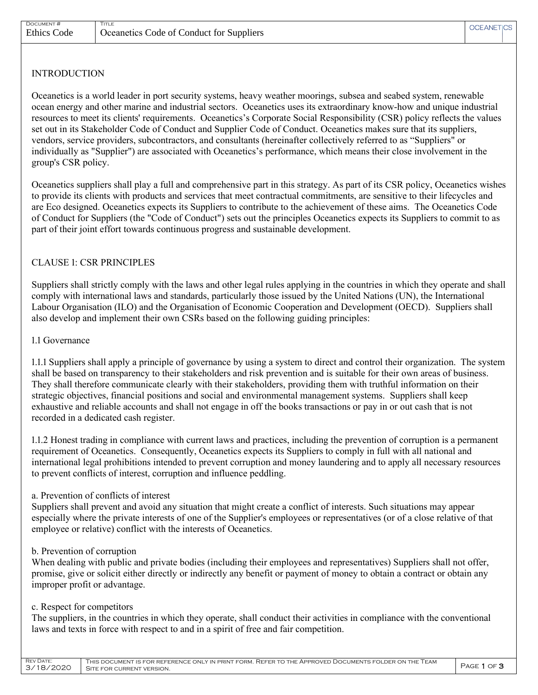DOCUMENT # TITLE

## INTRODUCTION

Oceanetics is a world leader in port security systems, heavy weather moorings, subsea and seabed system, renewable ocean energy and other marine and industrial sectors. Oceanetics uses its extraordinary know-how and unique industrial resources to meet its clients' requirements. Oceanetics's Corporate Social Responsibility (CSR) policy reflects the values set out in its Stakeholder Code of Conduct and Supplier Code of Conduct. Oceanetics makes sure that its suppliers, vendors, service providers, subcontractors, and consultants (hereinafter collectively referred to as "Suppliers" or individually as "Supplier") are associated with Oceanetics's performance, which means their close involvement in the group's CSR policy.

Oceanetics suppliers shall play a full and comprehensive part in this strategy. As part of its CSR policy, Oceanetics wishes to provide its clients with products and services that meet contractual commitments, are sensitive to their lifecycles and are Eco designed. Oceanetics expects its Suppliers to contribute to the achievement of these aims. The Oceanetics Code of Conduct for Suppliers (the "Code of Conduct") sets out the principles Oceanetics expects its Suppliers to commit to as part of their joint effort towards continuous progress and sustainable development.

## CLAUSE 1: CSR PRINCIPLES

Suppliers shall strictly comply with the laws and other legal rules applying in the countries in which they operate and shall comply with international laws and standards, particularly those issued by the United Nations (UN), the International Labour Organisation (ILO) and the Organisation of Economic Cooperation and Development (OECD). Suppliers shall also develop and implement their own CSRs based on the following guiding principles:

#### 1.1 Governance

1.1.1 Suppliers shall apply a principle of governance by using a system to direct and control their organization. The system shall be based on transparency to their stakeholders and risk prevention and is suitable for their own areas of business. They shall therefore communicate clearly with their stakeholders, providing them with truthful information on their strategic objectives, financial positions and social and environmental management systems. Suppliers shall keep exhaustive and reliable accounts and shall not engage in off the books transactions or pay in or out cash that is not recorded in a dedicated cash register.

1.1.2 Honest trading in compliance with current laws and practices, including the prevention of corruption is a permanent requirement of Oceanetics. Consequently, Oceanetics expects its Suppliers to comply in full with all national and international legal prohibitions intended to prevent corruption and money laundering and to apply all necessary resources to prevent conflicts of interest, corruption and influence peddling.

### a. Prevention of conflicts of interest

Suppliers shall prevent and avoid any situation that might create a conflict of interests. Such situations may appear especially where the private interests of one of the Supplier's employees or representatives (or of a close relative of that employee or relative) conflict with the interests of Oceanetics.

### b. Prevention of corruption

When dealing with public and private bodies (including their employees and representatives) Suppliers shall not offer, promise, give or solicit either directly or indirectly any benefit or payment of money to obtain a contract or obtain any improper profit or advantage.

#### c. Respect for competitors

The suppliers, in the countries in which they operate, shall conduct their activities in compliance with the conventional laws and texts in force with respect to and in a spirit of free and fair competition.

| <b>REV DATE:</b> | THIS DOCUMENT IS FOR REFERENCE ONLY IN PRINT FORM. REFER TO THE APPROVED DOCUMENTS FOLDER ON THE TEAM | PAGE 1 OF 3 |
|------------------|-------------------------------------------------------------------------------------------------------|-------------|
| 3/18/2020        | SITE FOR CURRENT VERSION.                                                                             |             |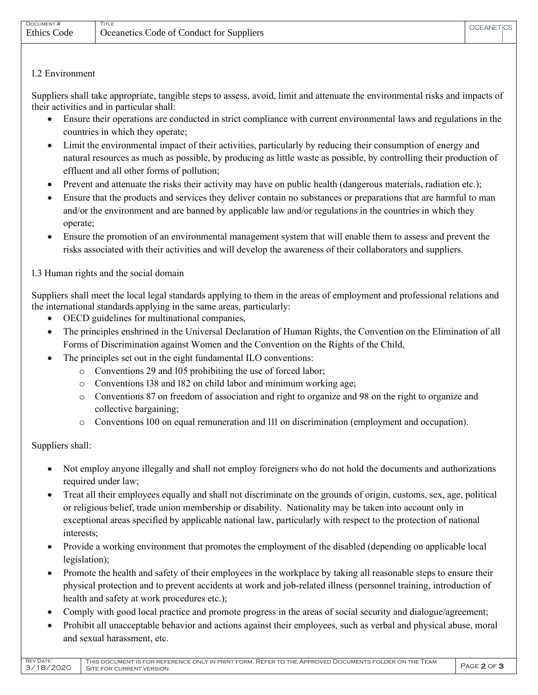# 1.2 Environment

Suppliers shall take appropriate, tangible steps to assess, avoid, limit and attenuate the environmental risks and impacts of their activities and in particular shall:

- Ensure their operations are conducted in strict compliance with current environmental laws and regulations in the countries in which they operate;
- Limit the environmental impact of their activities, particularly by reducing their consumption of energy and natural resources as much as possible, by producing as little waste as possible, by controlling their production of effluent and all other forms of pollution;
- Prevent and attenuate the risks their activity may have on public health (dangerous materials, radiation etc.);
- Ensure that the products and services they deliver contain no substances or preparations that are harmful to man and/or the environment and are banned by applicable law and/or regulations in the countries in which they operate;
- Ensure the promotion of an environmental management system that will enable them to assess and prevent the risks associated with their activities and will develop the awareness of their collaborators and suppliers.

1.3 Human rights and the social domain

Suppliers shall meet the local legal standards applying to them in the areas of employment and professional relations and the international standards applying in the same areas, particularly:

- OECD guidelines for multinational companies,
- The principles enshrined in the Universal Declaration of Human Rights, the Convention on the Elimination of all Forms of Discrimination against Women and the Convention on the Rights of the Child,
- The principles set out in the eight fundamental ILO conventions:
	- o Conventions 29 and 105 prohibiting the use of forced labor;
	- o Conventions 138 and 182 on child labor and minimum working age;
	- o Conventions 87 on freedom of association and right to organize and 98 on the right to organize and collective bargaining;
	- o Conventions 100 on equal remuneration and 111 on discrimination (employment and occupation).

Suppliers shall:

- Not employ anyone illegally and shall not employ foreigners who do not hold the documents and authorizations required under law;
- Treat all their employees equally and shall not discriminate on the grounds of origin, customs, sex, age, political or religious belief, trade union membership or disability. Nationality may be taken into account only in exceptional areas specified by applicable national law, particularly with respect to the protection of national interests;
- Provide a working environment that promotes the employment of the disabled (depending on applicable local legislation);
- Promote the health and safety of their employees in the workplace by taking all reasonable steps to ensure their physical protection and to prevent accidents at work and job-related illness (personnel training, introduction of health and safety at work procedures etc.);
- Comply with good local practice and promote progress in the areas of social security and dialogue/agreement;
- Prohibit all unacceptable behavior and actions against their employees, such as verbal and physical abuse, moral and sexual harassment, etc.

| <b>REV DATE:</b><br>THIS DOCUMENT IS FOR REFERENCE ONLY IN PRINT FORM. REFER TO THE APPROVED DOCUMENTS FOLDER ON THE TEAM<br>PAGE 2 OF 3<br>3/18/2020<br>SITE FOR CURRENT VERSION. |
|------------------------------------------------------------------------------------------------------------------------------------------------------------------------------------|
|------------------------------------------------------------------------------------------------------------------------------------------------------------------------------------|